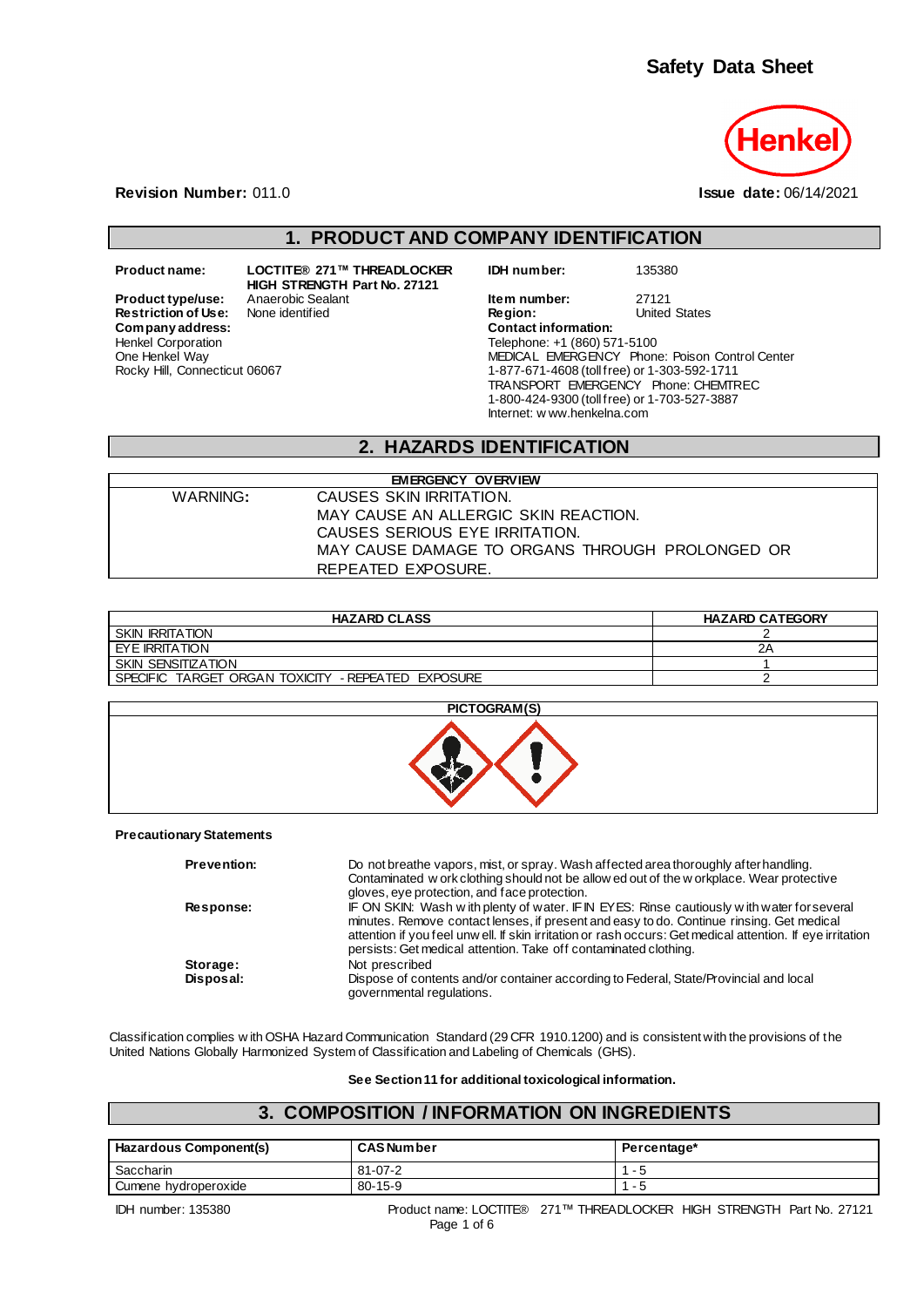

**Revision Number:** 011.0 **Issue date:** 06/14/2021

### **1. PRODUCT AND COMPANY IDENTIFICATION**

 $Company address:$ Henkel Corporation One Henkel Way Rocky Hill, Connecticut 06067

**Product name: LOCTITE® 271™ THREADLOCKER HIGH STRENGTH Part No. 27121 Restriction of Use:** None identified **Region:** Region: Region: United States: Company address:

**IDH number:** 135380

**Product type/use:** Anaerobic Sealant **Item number:** 27121<br> **Restriction of Use:** None identified **Integral Construct Construct Construct** Construct Chates Telephone: +1 (860) 571-5100 MEDICAL EMERGENCY Phone: Poison Control Center 1-877-671-4608 (toll free) or 1-303-592-1711 TRANSPORT EMERGENCY Phone: CHEMTREC 1-800-424-9300 (toll free) or 1-703-527-3887 Internet: w ww.henkelna.com

### **2. HAZARDS IDENTIFICATION**

| <b>EMERGENCY OVERVIEW</b> |                                                 |  |  |
|---------------------------|-------------------------------------------------|--|--|
| WARNING:                  | CAUSES SKIN IRRITATION.                         |  |  |
|                           | MAY CAUSE AN ALLERGIC SKIN REACTION.            |  |  |
|                           | CAUSES SERIOUS EYE IRRITATION.                  |  |  |
|                           | MAY CAUSE DAMAGE TO ORGANS THROUGH PROLONGED OR |  |  |
|                           | REPEATED EXPOSURE.                              |  |  |

| <b>HAZARD CLASS</b>                                             | <b>HAZARD CATEGORY</b> |
|-----------------------------------------------------------------|------------------------|
| <b>SKIN IRRITATION</b>                                          |                        |
| EYE IRRITATION                                                  | ZΑ                     |
| SKIN SENSITIZATION                                              |                        |
| TARGET ORGAN TOXICITY<br>- REPEATED EXPOSURE<br><b>SPECIFIC</b> |                        |

| PICTOGRAM(S) |
|--------------|
|              |

#### **Precautionary Statements**

| <b>Prevention:</b> | Do not breathe vapors, mist, or spray. Wash affected area thoroughly after handling.<br>Contaminated w ork clothing should not be allow ed out of the w orkplace. Wear protective<br>gloves, eye protection, and face protection.                                                                                                                                        |
|--------------------|--------------------------------------------------------------------------------------------------------------------------------------------------------------------------------------------------------------------------------------------------------------------------------------------------------------------------------------------------------------------------|
| Response:          | IF ON SKIN: Wash with plenty of water. IF IN EYES: Rinse cautiously with water for several<br>minutes. Remove contact lenses, if present and easy to do. Continue rinsing. Get medical<br>attention if you feel unw ell. If skin irritation or rash occurs: Get medical attention. If eye irritation<br>persists: Get medical attention. Take off contaminated clothing. |
| Storage:           | Not prescribed                                                                                                                                                                                                                                                                                                                                                           |
| Disposal:          | Dispose of contents and/or container according to Federal, State/Provincial and local<br>governmental regulations.                                                                                                                                                                                                                                                       |

Classification complies w ith OSHA Hazard Communication Standard (29 CFR 1910.1200) and is consistent with the provisions of the United Nations Globally Harmonized System of Classification and Labeling of Chemicals (GHS).

**See Section 11 for additional toxicological information.**

#### **3. COMPOSITION / INFORMATION ON INGREDIENTS**

| Hazardous Component(s) | <b>CAS Number</b> | Percentage* |
|------------------------|-------------------|-------------|
| Saccharin              | 81-07-2           | - 5         |
| Cumene hydroperoxide   | 80-15-9           | - 5         |

IDH number: 135380 Product name: LOCTITE® 271™ THREADLOCKER HIGH STRENGTH Part No. 27121 Page 1 of 6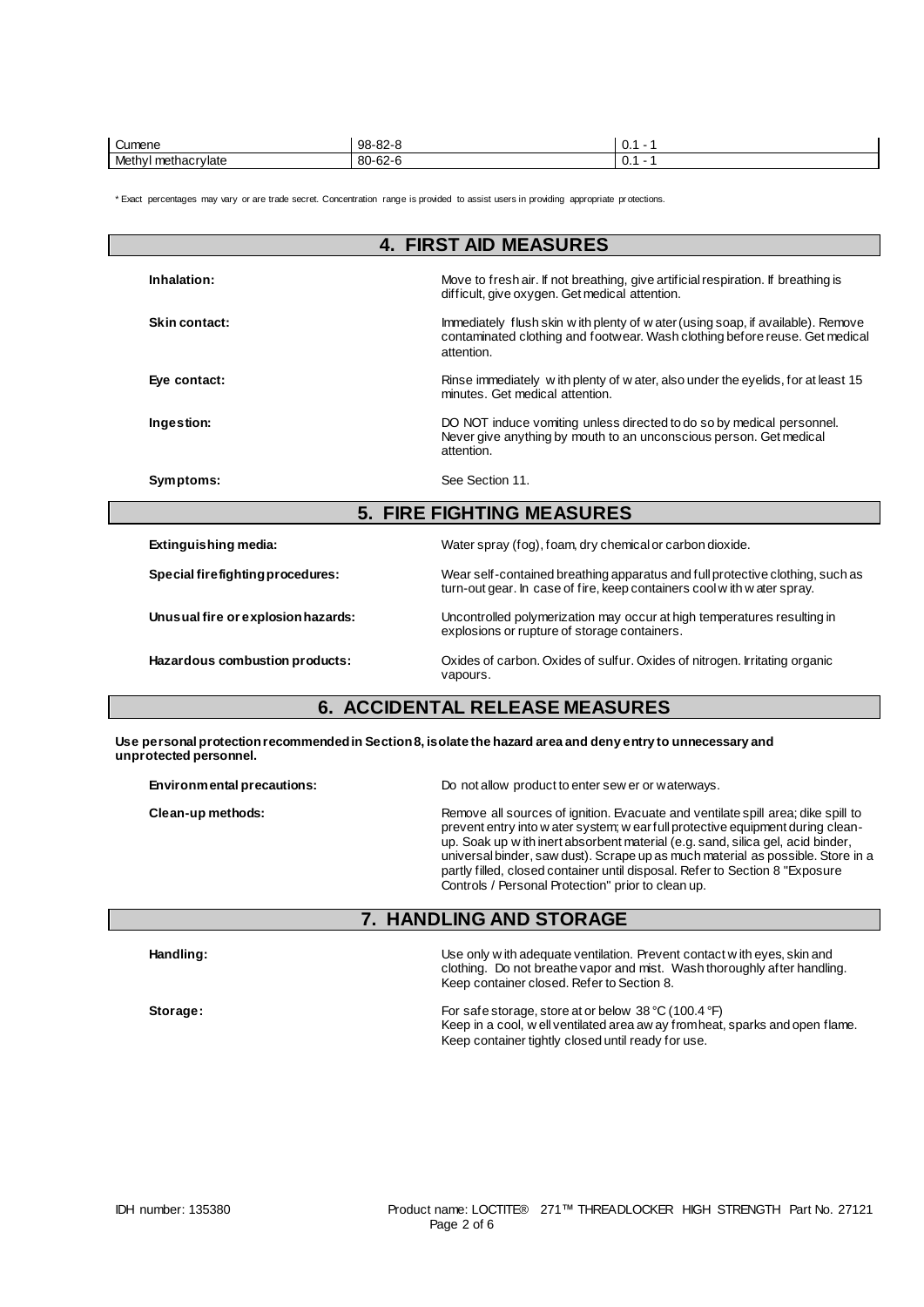| $\overline{\phantom{0}}$<br>Cumene                      | $98 - 82 - 8$             | ັບ. |
|---------------------------------------------------------|---------------------------|-----|
| Meth<br>ethacrylate<br>nethacr <sup>y</sup><br>$\bf{u}$ | $\sim$<br>$80 -$<br>-62-r | ັບ. |

\* Exact percentages may vary or are trade secret. Concentration range is provided to assist users in providing appropriate pr otections.

| <b>4. FIRST AID MEASURES</b>                                                                                                          |                                                                                                                                                                               |  |  |
|---------------------------------------------------------------------------------------------------------------------------------------|-------------------------------------------------------------------------------------------------------------------------------------------------------------------------------|--|--|
| Inhalation:                                                                                                                           | Move to fresh air. If not breathing, give artificial respiration. If breathing is<br>difficult, give oxygen. Get medical attention.                                           |  |  |
| Skin contact:                                                                                                                         | Immediately flush skin w ith plenty of w ater (using soap, if available). Remove<br>contaminated clothing and footwear. Wash clothing before reuse. Get medical<br>attention. |  |  |
| Eye contact:                                                                                                                          | Rinse immediately with plenty of water, also under the eyelids, for at least 15<br>minutes. Get medical attention.                                                            |  |  |
| Ingestion:                                                                                                                            | DO NOT induce vomiting unless directed to do so by medical personnel.<br>Never give anything by mouth to an unconscious person. Get medical<br>attention.                     |  |  |
| Symptoms:                                                                                                                             | See Section 11.                                                                                                                                                               |  |  |
| <b>5. FIRE FIGHTING MEASURES</b>                                                                                                      |                                                                                                                                                                               |  |  |
| Extinguishing media:                                                                                                                  | Water spray (fog), foam, dry chemical or carbon dioxide.                                                                                                                      |  |  |
| Special firefighting procedures:                                                                                                      | Wear self-contained breathing apparatus and full protective clothing, such as<br>turn-out gear. In case of fire, keep containers cool with water spray.                       |  |  |
| Unusual fire or explosion hazards:                                                                                                    | Uncontrolled polymerization may occur at high temperatures resulting in<br>explosions or rupture of storage containers.                                                       |  |  |
| Hazardous combustion products:                                                                                                        | Oxides of carbon. Oxides of sulfur. Oxides of nitrogen. Irritating organic<br>vapours.                                                                                        |  |  |
| <b>6. ACCIDENTAL RELEASE MEASURES</b>                                                                                                 |                                                                                                                                                                               |  |  |
| Use personal protection recommended in Section 8, isolate the hazard area and deny entry to unnecessary and<br>unprotected personnel. |                                                                                                                                                                               |  |  |

**Environmental precautions:** Do not allow product to enter sew er or waterways.

**Clean-up methods:** Remove all sources of ignition. Evacuate and ventilate spill area; dike spill to prevent entry into w ater system; w ear full protective equipment during cleanup. Soak up w ith inert absorbent material (e.g. sand, silica gel, acid binder, universal binder, saw dust). Scrape up as much material as possible. Store in a partly filled, closed container until disposal. Refer to Section 8 "Exposure Controls / Personal Protection" prior to clean up.

#### **7. HANDLING AND STORAGE**

| Handling: | Use only w ith adequate ventilation. Prevent contact w ith eyes, skin and<br>clothing. Do not breathe vapor and mist. Wash thoroughly after handling.<br>Keep container closed. Refer to Section 8. |  |
|-----------|-----------------------------------------------------------------------------------------------------------------------------------------------------------------------------------------------------|--|
| Storage:  | For safe storage, store at or below 38 °C (100.4 °F)<br>Keep in a cool, w ell ventilated area aw ay from heat, sparks and open flame.<br>Keep container tightly closed until ready for use.         |  |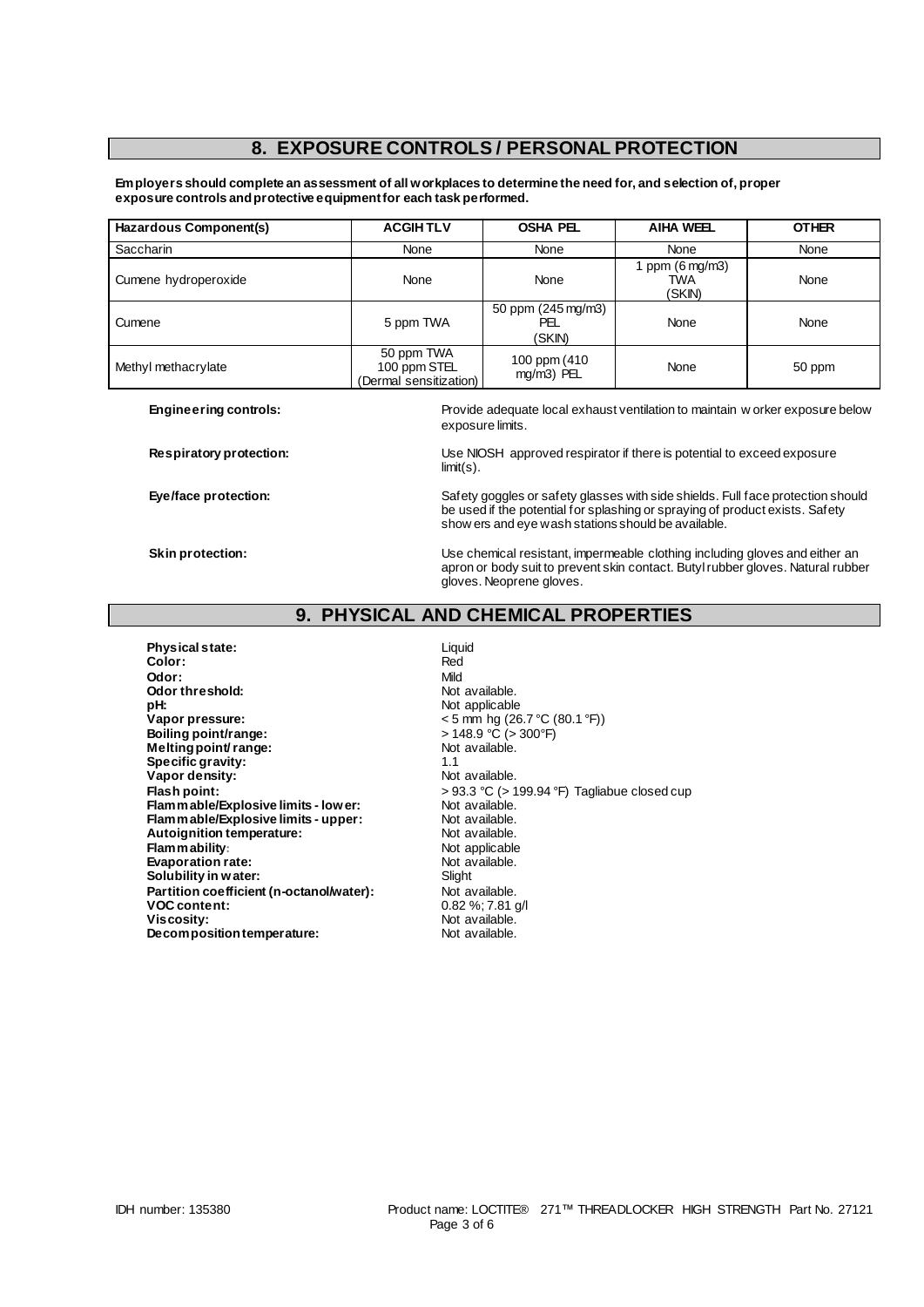### **8. EXPOSURE CONTROLS / PERSONAL PROTECTION**

**Employers should complete an assessment of all workplaces to determine the need for, and selection of, proper exposure controls and protective equipment for each task performed.**

| Hazardous Component(s) | <b>ACGIHTLV</b>                                      | <b>OSHA PEL</b>                     | <b>AIHA WEEL</b>                         | <b>OTHER</b> |
|------------------------|------------------------------------------------------|-------------------------------------|------------------------------------------|--------------|
| <b>Saccharin</b>       | None                                                 | None                                | None                                     | None         |
| Cumene hydroperoxide   | None                                                 | None                                | ppm $(6 \text{ mg/m3})$<br>TWA<br>(SKIN) | None         |
| Cumene                 | 5 ppm TWA                                            | 50 ppm (245 mg/m3)<br>PEL<br>(SKIN) | None                                     | None         |
| Methyl methacrylate    | 50 ppm TWA<br>100 ppm STEL<br>(Dermal sensitization) | 100 ppm (410)<br>mg/m3) PEL         | None                                     | 50 ppm       |

**Engineering controls:** Provide adequate local exhaust ventilation to maintain w orker exposure below exposure limits.

**Respiratory protection:** Use NIOSH approved respirator if there is potential to exceed exposure limit(s).

**Eye/face protection:** Safety goggles or safety glasses with side shields. Full face protection should be used if the potential for splashing or spraying of product exists. Safety show ers and eye wash stations should be available.

**Skin protection:** Use chemical resistant, impermeable clothing including gloves and either an apron or body suit to prevent skin contact. Butyl rubber gloves. Natural rubber gloves. Neoprene gloves.

### **9. PHYSICAL AND CHEMICAL PROPERTIES**

**Physical state:** Liquid **Color:** Liquid Color: **Color:** Red **Odor:** Mild **Odor threshold:** Not available.<br> **pH:** Not applicable **pH:**<br> **Vapor pressure:**<br>
Vapor pressure:<br>  $\frac{1}{2}$  Magnetic Magnetic Magnetic Magnetic Magnetic Magnetic Magnetic Magnetic Magnetic Magnetic Magnetic Magnetic Magnetic Magnetic Magnetic Magnetic Magnetic Magnetic Magneti  $<$  5 mm hg (26.7 °C (80.1 °F))<br>> 148.9 °C (> 300 °F) **Boiling point/range:**  $> 148.9 \degree \text{C}$  (> 3000)<br>Melting point/range:  $\text{Not available}$ **Melting point/ range:** Not approach a Not approach to Not a Not a Not a Not a Not a Not a Not a Not a Not a No<br>Specific gravity: Not a Not a Not a Not a Not a Not a Not a Not a Not a Not a Not a Not a Not a Not a Not a No **Specific gravity:**  $\begin{array}{ccc} 1.1 & 1.1 \\ \hline \end{array}$  **Specific gravity:**  $\begin{array}{ccc} 1.1 & 1.1 \\ \hline \end{array}$  Not available. Vapor density:<br>Flash point: > 93.3 °C (> 199.94 °F) Tagliabue closed cup<br>Not available. **Flammable/Explosive limits - lower:** Not available.<br> **Flammable/Explosive limits - upper:** Not available. **Flammable/Explosive limits - upper:** Not available.<br> **Autoignition temperature:** Not available. **Autoignition temperature:** Not available.<br> **Flammability:** Not applicable **Flam mability:**<br> **Evaporation rate:**<br> **Evaporation rate:**<br> **Not** available. **Evaporation rate:** Not available. Not available to the Slight Ship Motal Slight Slight Slight Slight Slight Slight Slight Slight Slight Slight Slight Slight Slight Slight Slight Slight Slight Slight Slight Slight Slight S **Solubility in water:** Slight Solubility in water:<br> **Partition coefficient (n-octanol/water):** Not available. Partition coefficient (n-octanol/water):<br>VOC content: **VOC content:**  $0.82\%; 7.81 \text{ g/l}$ <br> **Viscosity:** Not available. Not available.<br>Not available. **Decomposition temperature:**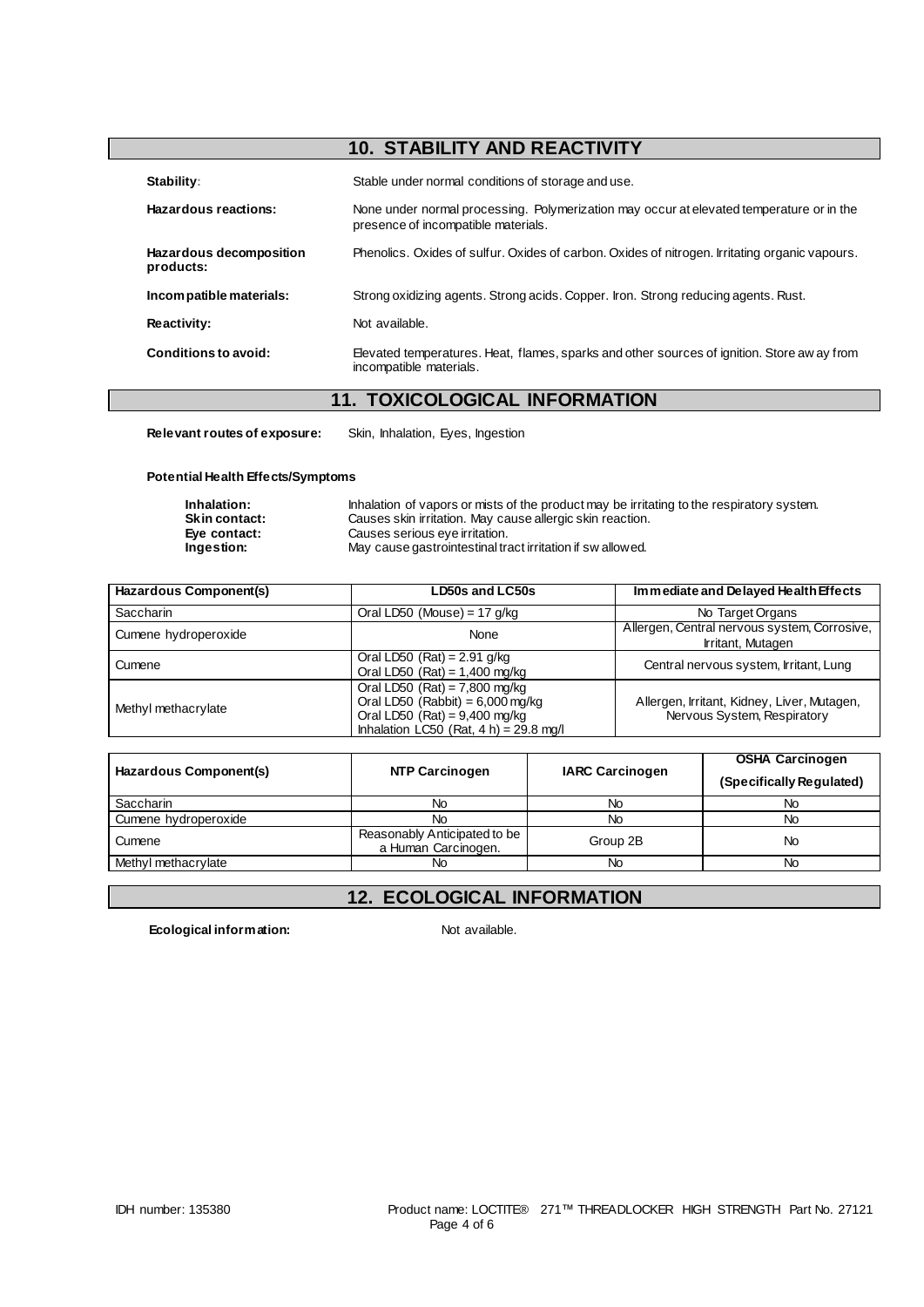# **10. STABILITY AND REACTIVITY**

| Stability:                           | Stable under normal conditions of storage and use.                                                                              |  |
|--------------------------------------|---------------------------------------------------------------------------------------------------------------------------------|--|
| Hazardous reactions:                 | None under normal processing. Polymerization may occur at elevated temperature or in the<br>presence of incompatible materials. |  |
| Hazardous decomposition<br>products: | Phenolics. Oxides of sulfur. Oxides of carbon. Oxides of nitrogen. Irritating organic vapours.                                  |  |
| Incompatible materials:              | Strong oxidizing agents. Strong acids. Copper. Iron. Strong reducing agents. Rust.                                              |  |
| Reactivity:                          | Not available.                                                                                                                  |  |
| Conditions to avoid:                 | Elevated temperatures. Heat, flames, sparks and other sources of ignition. Store aw ay from<br>incompatible materials.          |  |

### **11. TOXICOLOGICAL INFORMATION**

**Relevant routes of exposure:** Skin, Inhalation, Eyes, Ingestion

#### **Potential Health Effects/Symptoms**

| Inhalation:          | Inhalation of vapors or mists of the product may be irritating to the respiratory system. |
|----------------------|-------------------------------------------------------------------------------------------|
| <b>Skin contact:</b> | Causes skin irritation. May cause allergic skin reaction.                                 |
| Eve contact:         | Causes serious eve irritation.                                                            |
| Ingestion:           | May cause gastrointestinal tract irritation if sw allowed.                                |

| Hazardous Component(s) | LD50s and LC50s                                                                                                                                       | Immediate and Delayed Health Effects                                       |
|------------------------|-------------------------------------------------------------------------------------------------------------------------------------------------------|----------------------------------------------------------------------------|
| Saccharin              | Oral LD50 (Mouse) = $17$ g/kg                                                                                                                         | No Target Organs                                                           |
| Cumene hydroperoxide   | None                                                                                                                                                  | Allergen, Central nervous system, Corrosive,<br>Irritant, Mutagen          |
| Cumene                 | Oral LD50 $(Rat) = 2.91$ g/kg<br>Oral LD50 (Rat) = $1,400$ mg/kg                                                                                      | Central nervous system, Irritant, Lung                                     |
| Methyl methacrylate    | Oral LD50 (Rat) = $7,800$ mg/kg<br>Oral LD50 (Rabbit) = $6,000$ mg/kg<br>Oral LD50 (Rat) = $9,400$ mg/kg<br>Inhalation LC50 (Rat, $4 h$ ) = 29.8 mg/l | Allergen, Irritant, Kidney, Liver, Mutagen,<br>Nervous System, Respiratory |

| Hazardous Component(s) | NTP Carcinogen                                      | <b>IARC Carcinogen</b> | <b>OSHA Carcinogen</b><br>(Specifically Regulated) |
|------------------------|-----------------------------------------------------|------------------------|----------------------------------------------------|
| <b>Saccharin</b>       | No                                                  | No                     | No                                                 |
| Cumene hydroperoxide   | No                                                  | No                     | No.                                                |
| Cumene                 | Reasonably Anticipated to be<br>a Human Carcinogen. | Group 2B               | No                                                 |
| Methyl methacrylate    | No                                                  | Νo                     | No                                                 |

## **12. ECOLOGICAL INFORMATION**

**Ecological information:** Not available.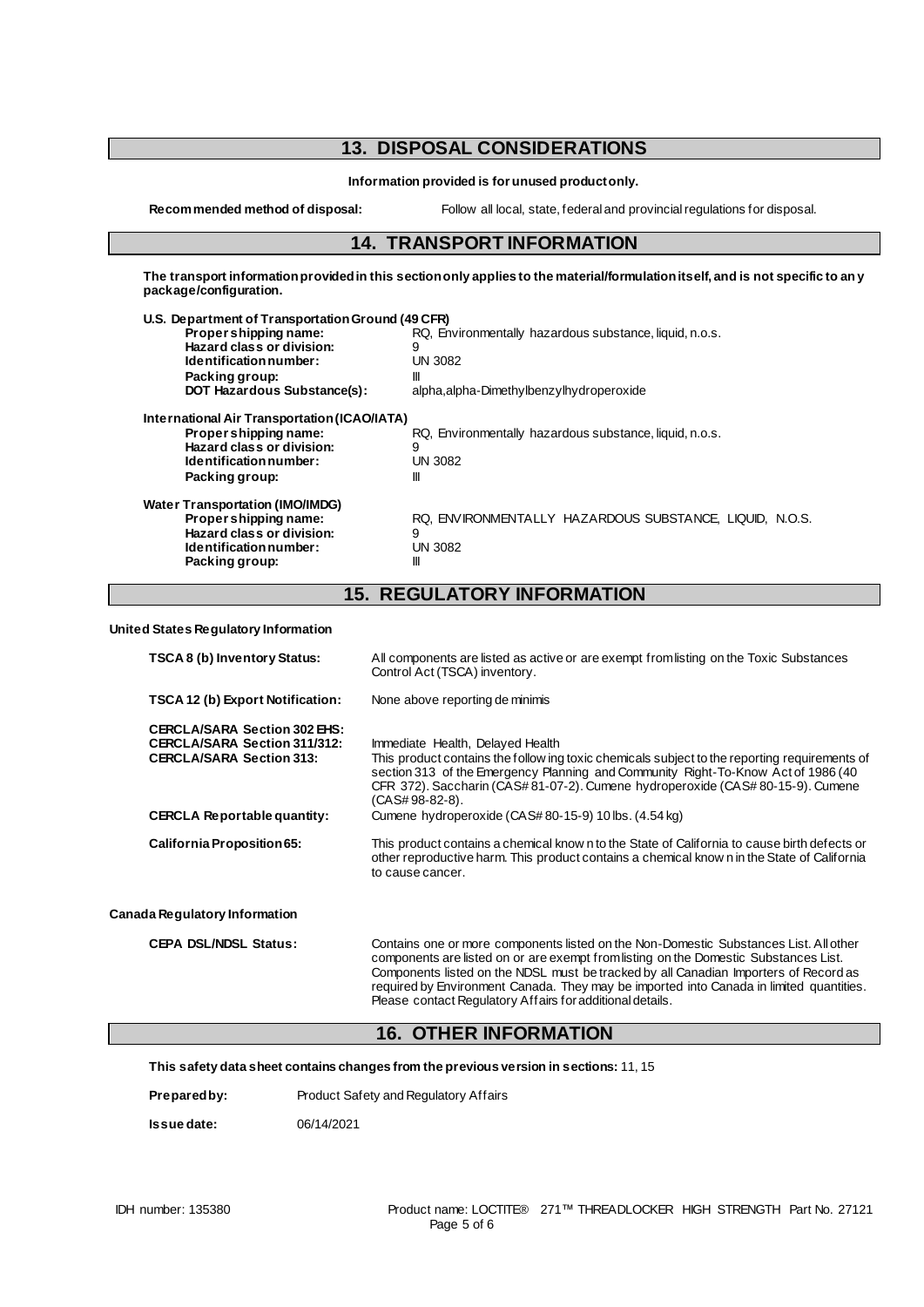## **13. DISPOSAL CONSIDERATIONS**

**Information provided is for unused product only.**

**Recommended method of disposal:** Follow all local, state, federal and provincial regulations for disposal.

### **14. TRANSPORT INFORMATION**

**The transport information provided in this section only applies to the material/formulation itself, and is not specific to any package/configuration.**

| U.S. Department of Transportation Ground (49 CFR) |                                                         |  |
|---------------------------------------------------|---------------------------------------------------------|--|
| Propershipping name:                              | RQ, Environmentally hazardous substance, liquid, n.o.s. |  |
| Hazard class or division:                         | 9                                                       |  |
| Identification number:                            | UN 3082                                                 |  |
| Packing group:                                    | Ш                                                       |  |
| <b>DOT Hazardous Substance(s):</b>                | alpha, alpha-Dimethylbenzylhydroperoxide                |  |
| International Air Transportation (ICAO/IATA)      |                                                         |  |
| Proper shipping name:                             | RQ, Environmentally hazardous substance, liquid, n.o.s. |  |
| Hazard class or division:                         | 9                                                       |  |
| Identification number:                            | UN 3082                                                 |  |
| Packing group:                                    | Ш                                                       |  |
| <b>Water Transportation (IMO/IMDG)</b>            |                                                         |  |
| Propershipping name:                              | RQ. ENVIRONMENTALLY HAZARDOUS SUBSTANCE. LIQUID. N.O.S. |  |
| Hazard class or division:                         | 9                                                       |  |
| Identification number:                            | UN 3082                                                 |  |
| Packing group:                                    | Ш                                                       |  |
|                                                   |                                                         |  |

### **15. REGULATORY INFORMATION**

**United States Regulatory Information**

| TSCA 8 (b) Inventory Status:                                                                                  | All components are listed as active or are exempt from listing on the Toxic Substances<br>Control Act (TSCA) inventory.                                                                                                                                                                                                                                                                                                       |
|---------------------------------------------------------------------------------------------------------------|-------------------------------------------------------------------------------------------------------------------------------------------------------------------------------------------------------------------------------------------------------------------------------------------------------------------------------------------------------------------------------------------------------------------------------|
| <b>TSCA 12 (b) Export Notification:</b>                                                                       | None above reporting de minimis                                                                                                                                                                                                                                                                                                                                                                                               |
| <b>CERCLA/SARA Section 302 EHS:</b><br><b>CERCLA/SARA Section 311/312:</b><br><b>CERCLA/SARA Section 313:</b> | Immediate Health, Delayed Health<br>This product contains the follow ing toxic chemicals subject to the reporting requirements of<br>section 313 of the Emergency Planning and Community Right-To-Know Act of 1986 (40<br>CFR 372). Saccharin (CAS#81-07-2). Cumene hydroperoxide (CAS#80-15-9). Cumene<br>(CAS#98-82-8).                                                                                                     |
| <b>CERCLA Reportable quantity:</b>                                                                            | Cumene hydroperoxide (CAS#80-15-9) 10 lbs. (4.54 kg)                                                                                                                                                                                                                                                                                                                                                                          |
| California Proposition 65:                                                                                    | This product contains a chemical know n to the State of California to cause birth defects or<br>other reproductive harm. This product contains a chemical know n in the State of California<br>to cause cancer.                                                                                                                                                                                                               |
| ada Regulatory Information                                                                                    |                                                                                                                                                                                                                                                                                                                                                                                                                               |
| <b>CEPA DSL/NDSL Status:</b>                                                                                  | Contains one or more components listed on the Non-Domestic Substances List. All other<br>components are listed on or are exempt from listing on the Domestic Substances List.<br>Components listed on the NDSL must be tracked by all Canadian Importers of Record as<br>required by Environment Canada. They may be imported into Canada in limited quantities.<br>Please contact Regulatory Affairs for additional details. |

### **16. OTHER INFORMATION**

**This safety data sheet contains changes from the previous version in sections:** 11, 15

**Prepared by:** Product Safety and Regulatory Affairs

**Issue date:** 06/14/2021

**Can**